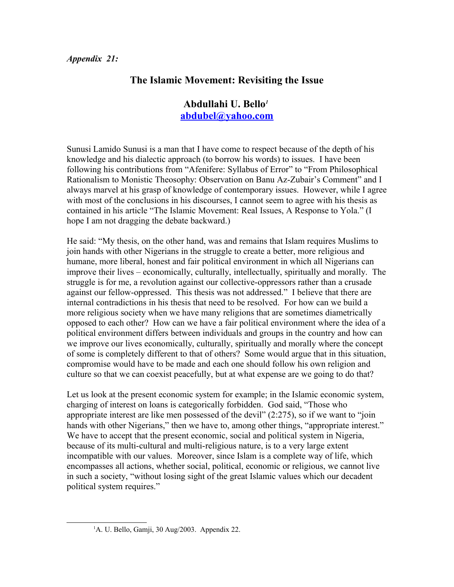## **The Islamic Movement: Revisiting the Issue**

## **Abdullahi U. Bello***[1](#page-0-0)* **[abdubel@yahoo.com](mailto:abdubel@yahoo.com)**

Sunusi Lamido Sunusi is a man that I have come to respect because of the depth of his knowledge and his dialectic approach (to borrow his words) to issues. I have been following his contributions from "Afenifere: Syllabus of Error" to "From Philosophical Rationalism to Monistic Theosophy: Observation on Banu Az-Zubair's Comment" and I always marvel at his grasp of knowledge of contemporary issues. However, while I agree with most of the conclusions in his discourses, I cannot seem to agree with his thesis as contained in his article "The Islamic Movement: Real Issues, A Response to Yola." (I hope I am not dragging the debate backward.)

He said: "My thesis, on the other hand, was and remains that Islam requires Muslims to join hands with other Nigerians in the struggle to create a better, more religious and humane, more liberal, honest and fair political environment in which all Nigerians can improve their lives – economically, culturally, intellectually, spiritually and morally. The struggle is for me, a revolution against our collective-oppressors rather than a crusade against our fellow-oppressed. This thesis was not addressed." I believe that there are internal contradictions in his thesis that need to be resolved. For how can we build a more religious society when we have many religions that are sometimes diametrically opposed to each other? How can we have a fair political environment where the idea of a political environment differs between individuals and groups in the country and how can we improve our lives economically, culturally, spiritually and morally where the concept of some is completely different to that of others? Some would argue that in this situation, compromise would have to be made and each one should follow his own religion and culture so that we can coexist peacefully, but at what expense are we going to do that?

Let us look at the present economic system for example; in the Islamic economic system, charging of interest on loans is categorically forbidden. God said, "Those who appropriate interest are like men possessed of the devil" (2:275), so if we want to "join hands with other Nigerians," then we have to, among other things, "appropriate interest." We have to accept that the present economic, social and political system in Nigeria, because of its multi-cultural and multi-religious nature, is to a very large extent incompatible with our values. Moreover, since Islam is a complete way of life, which encompasses all actions, whether social, political, economic or religious, we cannot live in such a society, "without losing sight of the great Islamic values which our decadent political system requires."

<span id="page-0-0"></span><sup>&</sup>lt;sup>1</sup>A. U. Bello, Gamji, 30 Aug/2003. Appendix 22.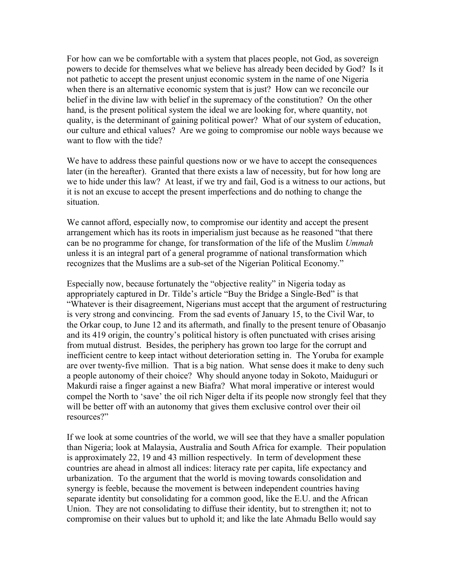For how can we be comfortable with a system that places people, not God, as sovereign powers to decide for themselves what we believe has already been decided by God? Is it not pathetic to accept the present unjust economic system in the name of one Nigeria when there is an alternative economic system that is just? How can we reconcile our belief in the divine law with belief in the supremacy of the constitution? On the other hand, is the present political system the ideal we are looking for, where quantity, not quality, is the determinant of gaining political power? What of our system of education, our culture and ethical values? Are we going to compromise our noble ways because we want to flow with the tide?

We have to address these painful questions now or we have to accept the consequences later (in the hereafter). Granted that there exists a law of necessity, but for how long are we to hide under this law? At least, if we try and fail, God is a witness to our actions, but it is not an excuse to accept the present imperfections and do nothing to change the situation.

We cannot afford, especially now, to compromise our identity and accept the present arrangement which has its roots in imperialism just because as he reasoned "that there can be no programme for change, for transformation of the life of the Muslim *Ummah* unless it is an integral part of a general programme of national transformation which recognizes that the Muslims are a sub-set of the Nigerian Political Economy."

Especially now, because fortunately the "objective reality" in Nigeria today as appropriately captured in Dr. Tilde's article "Buy the Bridge a Single-Bed" is that "Whatever is their disagreement, Nigerians must accept that the argument of restructuring is very strong and convincing. From the sad events of January 15, to the Civil War, to the Orkar coup, to June 12 and its aftermath, and finally to the present tenure of Obasanjo and its 419 origin, the country's political history is often punctuated with crises arising from mutual distrust. Besides, the periphery has grown too large for the corrupt and inefficient centre to keep intact without deterioration setting in. The Yoruba for example are over twenty-five million. That is a big nation. What sense does it make to deny such a people autonomy of their choice? Why should anyone today in Sokoto, Maiduguri or Makurdi raise a finger against a new Biafra? What moral imperative or interest would compel the North to 'save' the oil rich Niger delta if its people now strongly feel that they will be better off with an autonomy that gives them exclusive control over their oil resources?"

If we look at some countries of the world, we will see that they have a smaller population than Nigeria; look at Malaysia, Australia and South Africa for example. Their population is approximately 22, 19 and 43 million respectively. In term of development these countries are ahead in almost all indices: literacy rate per capita, life expectancy and urbanization. To the argument that the world is moving towards consolidation and synergy is feeble, because the movement is between independent countries having separate identity but consolidating for a common good, like the E.U. and the African Union. They are not consolidating to diffuse their identity, but to strengthen it; not to compromise on their values but to uphold it; and like the late Ahmadu Bello would say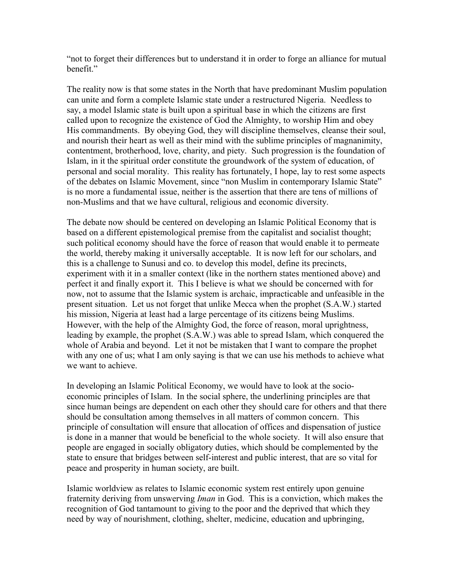"not to forget their differences but to understand it in order to forge an alliance for mutual benefit."

The reality now is that some states in the North that have predominant Muslim population can unite and form a complete Islamic state under a restructured Nigeria. Needless to say, a model Islamic state is built upon a spiritual base in which the citizens are first called upon to recognize the existence of God the Almighty, to worship Him and obey His commandments. By obeying God, they will discipline themselves, cleanse their soul, and nourish their heart as well as their mind with the sublime principles of magnanimity, contentment, brotherhood, love, charity, and piety. Such progression is the foundation of Islam, in it the spiritual order constitute the groundwork of the system of education, of personal and social morality. This reality has fortunately, I hope, lay to rest some aspects of the debates on Islamic Movement, since "non Muslim in contemporary Islamic State" is no more a fundamental issue, neither is the assertion that there are tens of millions of non-Muslims and that we have cultural, religious and economic diversity.

The debate now should be centered on developing an Islamic Political Economy that is based on a different epistemological premise from the capitalist and socialist thought; such political economy should have the force of reason that would enable it to permeate the world, thereby making it universally acceptable. It is now left for our scholars, and this is a challenge to Sunusi and co. to develop this model, define its precincts, experiment with it in a smaller context (like in the northern states mentioned above) and perfect it and finally export it. This I believe is what we should be concerned with for now, not to assume that the Islamic system is archaic, impracticable and unfeasible in the present situation. Let us not forget that unlike Mecca when the prophet (S.A.W.) started his mission, Nigeria at least had a large percentage of its citizens being Muslims. However, with the help of the Almighty God, the force of reason, moral uprightness, leading by example, the prophet (S.A.W.) was able to spread Islam, which conquered the whole of Arabia and beyond. Let it not be mistaken that I want to compare the prophet with any one of us; what I am only saying is that we can use his methods to achieve what we want to achieve.

In developing an Islamic Political Economy, we would have to look at the socioeconomic principles of Islam. In the social sphere, the underlining principles are that since human beings are dependent on each other they should care for others and that there should be consultation among themselves in all matters of common concern. This principle of consultation will ensure that allocation of offices and dispensation of justice is done in a manner that would be beneficial to the whole society. It will also ensure that people are engaged in socially obligatory duties, which should be complemented by the state to ensure that bridges between self-interest and public interest, that are so vital for peace and prosperity in human society, are built.

Islamic worldview as relates to Islamic economic system rest entirely upon genuine fraternity deriving from unswerving *Iman* in God. This is a conviction, which makes the recognition of God tantamount to giving to the poor and the deprived that which they need by way of nourishment, clothing, shelter, medicine, education and upbringing,